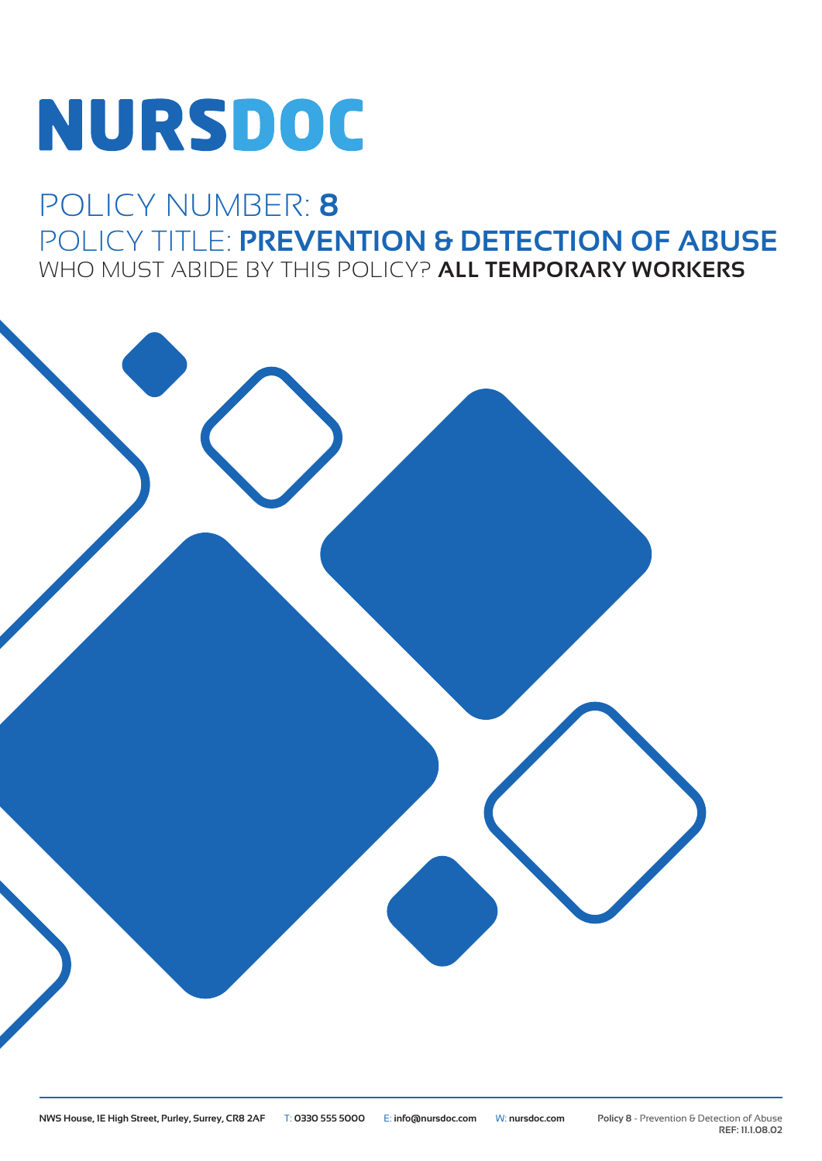# **NURSDOC**

# POLICY NUMBER: **8** POLICY TITLE: **PREVENTION & DETECTION OF ABUSE** WHO MUST ABIDE BY THIS POLICY? **ALL TEMPORARY WORKERS**

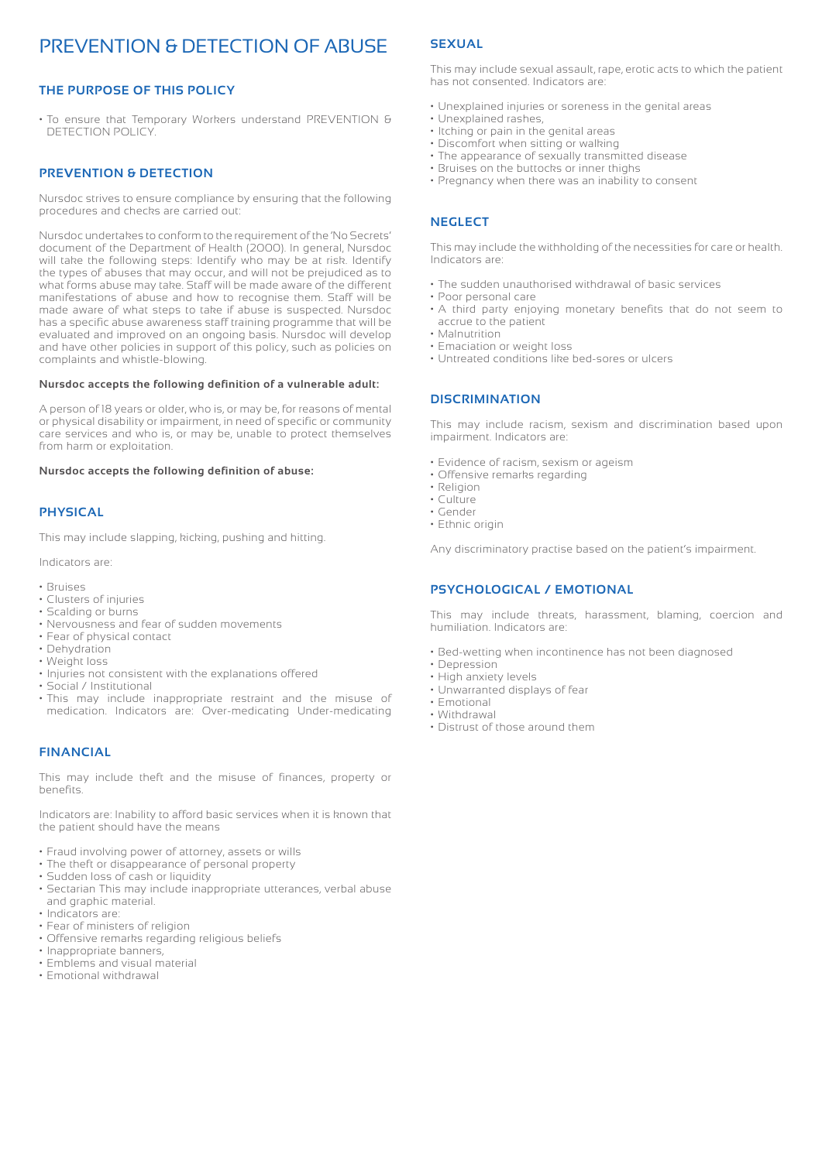## PREVENTION & DETECTION OF ABUSE

#### **THE PURPOSE OF THIS POLICY**

• To ensure that Temporary Workers understand PREVENTION & DETECTION POLICY.

#### **PREVENTION & DETECTION**

Nursdoc strives to ensure compliance by ensuring that the following procedures and checks are carried out:

Nursdoc undertakes to conform to the requirement of the 'No Secrets' document of the Department of Health (2000). In general, Nursdoc will take the following steps: Identify who may be at risk. Identify the types of abuses that may occur, and will not be prejudiced as to what forms abuse may take. Staff will be made aware of the different manifestations of abuse and how to recognise them. Staff will be made aware of what steps to take if abuse is suspected. Nursdoc has a specific abuse awareness staff training programme that will be evaluated and improved on an ongoing basis. Nursdoc will develop and have other policies in support of this policy, such as policies on complaints and whistle-blowing.

#### **Nursdoc accepts the following definition of a vulnerable adult:**

A person of 18 years or older, who is, or may be, for reasons of mental or physical disability or impairment, in need of specific or community care services and who is, or may be, unable to protect themselves from harm or exploitation.

#### **Nursdoc accepts the following definition of abuse:**

#### **PHYSICAL**

This may include slapping, kicking, pushing and hitting.

Indicators are:

- Bruises
- Clusters of injuries
- Scalding or burns
- Nervousness and fear of sudden movements
- Fear of physical contact
- Dehydration
- Weight loss
- Injuries not consistent with the explanations offered
- Social / Institutional
- This may include inappropriate restraint and the misuse of medication. Indicators are: Over-medicating Under-medicating

#### **FINANCIAL**

This may include theft and the misuse of finances, property or benefits.

Indicators are: Inability to afford basic services when it is known that the patient should have the means

- Fraud involving power of attorney, assets or wills
- The theft or disappearance of personal property
- Sudden loss of cash or liquidity
- Sectarian This may include inappropriate utterances, verbal abuse and graphic material.
- Indicators are:
- Fear of ministers of religion
- Offensive remarks regarding religious beliefs
- Inappropriate banners,
- Emblems and visual material • Emotional withdrawal

### **SEXUAL**

This may include sexual assault, rape, erotic acts to which the patient has not consented. Indicators are:

- Unexplained injuries or soreness in the genital areas
- Unexplained rashes,
- Itching or pain in the genital areas
- Discomfort when sitting or walking
- The appearance of sexually transmitted disease
- Bruises on the buttocks or inner thighs
- Pregnancy when there was an inability to consent

#### **NEGLECT**

This may include the withholding of the necessities for care or health. Indicators are:

- The sudden unauthorised withdrawal of basic services
- Poor personal care
- A third party enjoying monetary benefits that do not seem to accrue to the patient
- Malnutrition
- Emaciation or weight loss
- Untreated conditions like bed-sores or ulcers

#### **DISCRIMINATION**

This may include racism, sexism and discrimination based upon impairment. Indicators are:

- Evidence of racism, sexism or ageism
- Offensive remarks regarding
- Religion
- Culture • Gender
- Ethnic origin
- 

Any discriminatory practise based on the patient's impairment.

#### **PSYCHOLOGICAL / EMOTIONAL**

This may include threats, harassment, blaming, coercion and humiliation. Indicators are:

- Bed-wetting when incontinence has not been diagnosed
- Depression
- High anxiety levels • Unwarranted displays of fear
- Emotional
- Withdrawal
- Distrust of those around them